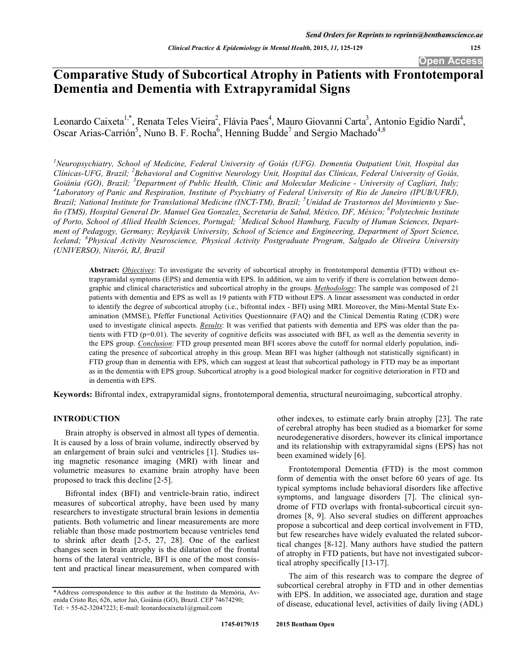**Open Access** 

# **Comparative Study of Subcortical Atrophy in Patients with Frontotemporal Dementia and Dementia with Extrapyramidal Signs**

Leonardo Caixeta<sup>1,\*</sup>, Renata Teles Vieira<sup>2</sup>, Flávia Paes<sup>4</sup>, Mauro Giovanni Carta<sup>3</sup>, Antonio Egidio Nardi<sup>4</sup>, Oscar Arias-Carrión<sup>5</sup>, Nuno B. F. Rocha<sup>6</sup>, Henning Budde<sup>7</sup> and Sergio Machado<sup>4,8</sup>

*1 Neuropsychiatry, School of Medicine, Federal University of Goiás (UFG). Dementia Outpatient Unit, Hospital das Clínicas-UFG, Brazil; <sup>2</sup> Behavioral and Cognitive Neurology Unit, Hospital das Clínicas, Federal University of Goiás, Goiânia (GO), Brazil; <sup>3</sup> Department of Public Health, Clinic and Molecular Medicine - University of Cagliari, Italy; 4 Laboratory of Panic and Respiration, Institute of Psychiatry of Federal University of Rio de Janeiro (IPUB/UFRJ), Brazil; National Institute for Translational Medicine (INCT-TM), Brazil; <sup>5</sup> Unidad de Trastornos del Movimiento y Sueño (TMS), Hospital General Dr. Manuel Gea Gonzalez, Secretaria de Salud, México, DF, México; <sup>6</sup> Polytechnic Institute of Porto, School of Allied Health Sciences, Portugal; <sup>7</sup> Medical School Hamburg, Faculty of Human Sciences, Department of Pedagogy, Germany; Reykjavik University, School of Science and Engineering, Department of Sport Science, Iceland; <sup>8</sup> Physical Activity Neuroscience, Physical Activity Postgraduate Program, Salgado de Oliveira University (UNIVERSO), Niterói, RJ, Brazil*

**Abstract:** *Objectives*: To investigate the severity of subcortical atrophy in frontotemporal dementia (FTD) without extrapyramidal symptoms (EPS) and dementia with EPS. In addition, we aim to verify if there is correlation between demographic and clinical characteristics and subcortical atrophy in the groups. *Methodology*: The sample was composed of 21 patients with dementia and EPS as well as 19 patients with FTD without EPS. A linear assessment was conducted in order to identify the degree of subcortical atrophy (i.e., bifrontal index - BFI) using MRI. Moreover, the Mini-Mental State Examination (MMSE), Pfeffer Functional Activities Questionnaire (FAQ) and the Clinical Dementia Rating (CDR) were used to investigate clinical aspects. *Results*: It was verified that patients with dementia and EPS was older than the patients with FTD (p=0.01). The severity of cognitive deficits was associated with BFI, as well as the dementia severity in the EPS group. *Conclusion*: FTD group presented mean BFI scores above the cutoff for normal elderly population, indicating the presence of subcortical atrophy in this group. Mean BFI was higher (although not statistically significant) in FTD group than in dementia with EPS, which can suggest at least that subcortical pathology in FTD may be as important as in the dementia with EPS group. Subcortical atrophy is a good biological marker for cognitive deterioration in FTD and in dementia with EPS.

**Keywords:** Bifrontal index, extrapyramidal signs, frontotemporal dementia, structural neuroimaging, subcortical atrophy.

# **INTRODUCTION**

Brain atrophy is observed in almost all types of dementia. It is caused by a loss of brain volume, indirectly observed by an enlargement of brain sulci and ventricles [1]. Studies using magnetic resonance imaging (MRI) with linear and volumetric measures to examine brain atrophy have been proposed to track this decline [2-5].

Bifrontal index (BFI) and ventricle-brain ratio, indirect measures of subcortical atrophy, have been used by many researchers to investigate structural brain lesions in dementia patients. Both volumetric and linear measurements are more reliable than those made postmortem because ventricles tend to shrink after death [2-5, 27, 28]. One of the earliest changes seen in brain atrophy is the dilatation of the frontal horns of the lateral ventricle, BFI is one of the most consistent and practical linear measurement, when compared with other indexes, to estimate early brain atrophy [23]. The rate of cerebral atrophy has been studied as a biomarker for some neurodegenerative disorders, however its clinical importance and its relationship with extrapyramidal signs (EPS) has not been examined widely [6].

Frontotemporal Dementia (FTD) is the most common form of dementia with the onset before 60 years of age. Its typical symptoms include behavioral disorders like affective symptoms, and language disorders [7]. The clinical syndrome of FTD overlaps with frontal-subcortical circuit syndromes [8, 9]. Also several studies on different approaches propose a subcortical and deep cortical involvement in FTD, but few researches have widely evaluated the related subcortical changes [8-12]. Many authors have studied the pattern of atrophy in FTD patients, but have not investigated subcortical atrophy specifically [13-17].

The aim of this research was to compare the degree of subcortical cerebral atrophy in FTD and in other dementias with EPS. In addition, we associated age, duration and stage of disease, educational level, activities of daily living (ADL)

<sup>\*</sup>Address correspondence to this author at the Instituto da Memória, Avenida Cristo Rei, 626, setor Jaó, Goiânia (GO), Brazil. CEP 74674290; Tel: + 55-62-32047223; E-mail: leonardocaixeta1@gmail.com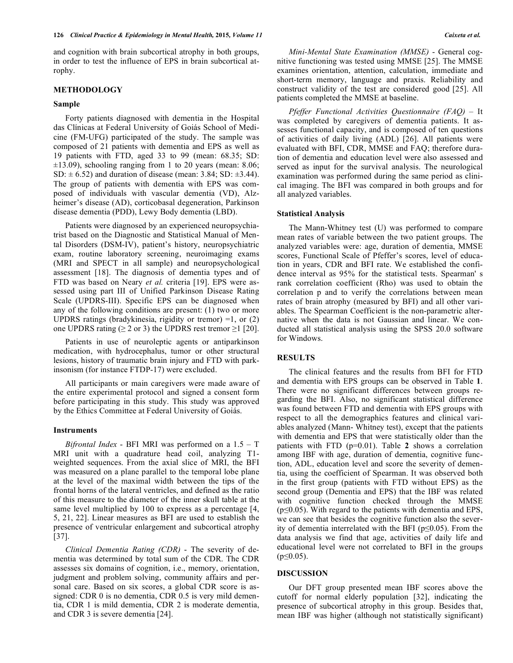and cognition with brain subcortical atrophy in both groups, in order to test the influence of EPS in brain subcortical atrophy.

#### **METHODOLOGY**

# **Sample**

Forty patients diagnosed with dementia in the Hospital das Clínicas at Federal University of Goiás School of Medicine (FM-UFG) participated of the study. The sample was composed of 21 patients with dementia and EPS as well as 19 patients with FTD, aged 33 to 99 (mean: 68.35; SD:  $\pm$ 13.09), schooling ranging from 1 to 20 years (mean: 8.06; SD:  $\pm$  6.52) and duration of disease (mean: 3.84; SD:  $\pm$ 3.44). The group of patients with dementia with EPS was composed of individuals with vascular dementia (VD), Alzheimer's disease (AD), corticobasal degeneration, Parkinson disease dementia (PDD), Lewy Body dementia (LBD).

Patients were diagnosed by an experienced neuropsychiatrist based on the Diagnostic and Statistical Manual of Mental Disorders (DSM-IV), patient's history, neuropsychiatric exam, routine laboratory screening, neuroimaging exams (MRI and SPECT in all sample) and neuropsychological assessment [18]. The diagnosis of dementia types and of FTD was based on Neary *et al.* criteria [19]. EPS were assessed using part III of Unified Parkinson Disease Rating Scale (UPDRS-III). Specific EPS can be diagnosed when any of the following conditions are present: (1) two or more UPDRS ratings (bradykinesia, rigidity or tremor)  $=1$ , or  $(2)$ one UPDRS rating ( $\geq 2$  or 3) the UPDRS rest tremor  $\geq 1$  [20].

Patients in use of neuroleptic agents or antiparkinson medication, with hydrocephalus, tumor or other structural lesions, history of traumatic brain injury and FTD with parkinsonism (for instance FTDP-17) were excluded.

All participants or main caregivers were made aware of the entire experimental protocol and signed a consent form before participating in this study. This study was approved by the Ethics Committee at Federal University of Goiás.

#### **Instruments**

*Bifrontal Index* - BFI MRI was performed on a 1.5 – T MRI unit with a quadrature head coil, analyzing T1 weighted sequences. From the axial slice of MRI, the BFI was measured on a plane parallel to the temporal lobe plane at the level of the maximal width between the tips of the frontal horns of the lateral ventricles, and defined as the ratio of this measure to the diameter of the inner skull table at the same level multiplied by 100 to express as a percentage [4, 5, 21, 22]. Linear measures as BFI are used to establish the presence of ventricular enlargement and subcortical atrophy [37].

*Clinical Dementia Rating (CDR)* - The severity of dementia was determined by total sum of the CDR. The CDR assesses six domains of cognition, i.e., memory, orientation, judgment and problem solving, community affairs and personal care. Based on six scores, a global CDR score is assigned: CDR 0 is no dementia, CDR 0.5 is very mild dementia, CDR 1 is mild dementia, CDR 2 is moderate dementia, and CDR 3 is severe dementia [24].

*Mini-Mental State Examination (MMSE)* - General cognitive functioning was tested using MMSE [25]. The MMSE examines orientation, attention, calculation, immediate and short-term memory, language and praxis. Reliability and construct validity of the test are considered good [25]. All patients completed the MMSE at baseline.

*Pfeffer Functional Activities Questionnaire (FAQ)* – It was completed by caregivers of dementia patients. It assesses functional capacity, and is composed of ten questions of activities of daily living (ADL) [26]. All patients were evaluated with BFI, CDR, MMSE and FAQ; therefore duration of dementia and education level were also assessed and served as input for the survival analysis. The neurological examination was performed during the same period as clinical imaging. The BFI was compared in both groups and for all analyzed variables.

#### **Statistical Analysis**

The Mann-Whitney test (U) was performed to compare mean rates of variable between the two patient groups. The analyzed variables were: age, duration of dementia, MMSE scores, Functional Scale of Pfeffer's scores, level of education in years, CDR and BFI rate. We established the confidence interval as 95% for the statistical tests. Spearman' s rank correlation coefficient (Rho) was used to obtain the correlation p and to verify the correlations between mean rates of brain atrophy (measured by BFI) and all other variables. The Spearman Coefficient is the non-parametric alternative when the data is not Gaussian and linear. We conducted all statistical analysis using the SPSS 20.0 software for Windows.

# **RESULTS**

The clinical features and the results from BFI for FTD and dementia with EPS groups can be observed in Table **1**. There were no significant differences between groups regarding the BFI. Also, no significant statistical difference was found between FTD and dementia with EPS groups with respect to all the demographics features and clinical variables analyzed (Mann- Whitney test), except that the patients with dementia and EPS that were statistically older than the patients with FTD (p=0.01). Table **2** shows a correlation among IBF with age, duration of dementia, cognitive function, ADL, education level and score the severity of dementia, using the coefficient of Spearman. It was observed both in the first group (patients with FTD without EPS) as the second group (Dementia and EPS) that the IBF was related with cognitive function checked through the MMSE  $(p \le 0.05)$ . With regard to the patients with dementia and EPS, we can see that besides the cognitive function also the severity of dementia interrelated with the BFI ( $p \le 0.05$ ). From the data analysis we find that age, activities of daily life and educational level were not correlated to BFI in the groups  $(p \le 0.05)$ .

#### **DISCUSSION**

Our DFT group presented mean IBF scores above the cutoff for normal elderly population [32], indicating the presence of subcortical atrophy in this group. Besides that, mean IBF was higher (although not statistically significant)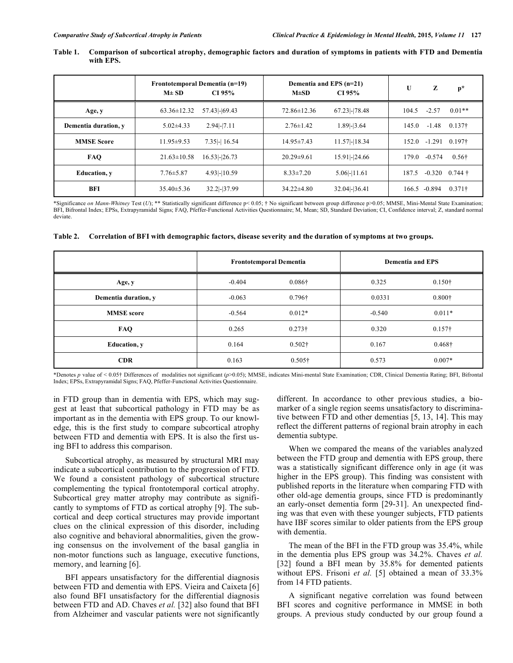| Table 1. | Comparison of subcortical atrophy, demographic factors and duration of symptoms in patients with FTD and Dementia |
|----------|-------------------------------------------------------------------------------------------------------------------|
|          | with EPS.                                                                                                         |

|                      | $M\pm SD$         | Frontotemporal Dementia (n=19)<br>CI 95% | $M\pm SD$        | Dementia and EPS (n=21)<br>CI 95% | U     | z        | $p*$                     |
|----------------------|-------------------|------------------------------------------|------------------|-----------------------------------|-------|----------|--------------------------|
| Age, y               | $63.36 \pm 12.32$ | 57.43-69.43                              | 72.86±12.36      | 67.23 -178.48                     | 104.5 | $-2.57$  | $0.01**$                 |
| Dementia duration, y | $5.02 \pm 4.33$   | $2.94$ -7.11                             | $2.76 \pm 1.42$  | $1.89 - 3.64$                     | 145.0 | $-1.48$  | 0.137 <sup>†</sup>       |
| <b>MMSE Score</b>    | $11.95 \pm 9.53$  | $7.35$ -16.54                            | $14.95 \pm 7.43$ | 11.57-18.34                       | 152.0 | $-1.291$ | $0.197\dagger$           |
| <b>FAO</b>           | $21.63 \pm 10.58$ | $16.53$ -26.73                           | $20.29 \pm 9.61$ | $15.91$  - $24.66$                | 179.0 | $-0.574$ | $0.56\dagger$            |
| <b>Education</b> , v | $7.76 \pm 5.87$   | 4.93 - 10.59                             | $8.33 \pm 7.20$  | $5.06$ -11.61                     | 187.5 |          | $-0.320$ 0.744 $\dagger$ |
| BFI                  | $35.40 \pm 5.36$  | $32.2$ -37.99                            | $34.22 \pm 4.80$ | 32.04 - 36.41                     | 166.5 | -0.894   | $0.371\dagger$           |

\*Significance *on Mann-Whitney* Test (*U*); \*\* Statistically significant difference p< 0.05; † No significant between group difference p>0.05; MMSE, Mini-Mental State Examination; BFI, Bifrontal Index; EPSs, Extrapyramidal Signs; FAQ, Pfeffer-Functional Activities Questionnaire; M, Mean; SD, Standard Deviation; CI, Confidence interval; Z, standard normal deviate.

| Table 2. Correlation of BFI with demographic factors, disease severity and the duration of symptoms at two groups. |  |  |
|--------------------------------------------------------------------------------------------------------------------|--|--|
|                                                                                                                    |  |  |

|                      | <b>Frontotemporal Dementia</b> |                | <b>Dementia and EPS</b> |                |  |
|----------------------|--------------------------------|----------------|-------------------------|----------------|--|
| Age, y               | $-0.404$                       | $0.086\dagger$ | 0.325                   | $0.150\dagger$ |  |
| Dementia duration, y | $-0.063$                       | $0.796\dagger$ | 0.0331                  | $0.800\dagger$ |  |
| <b>MMSE</b> score    | $-0.564$                       | $0.012*$       | $-0.540$                | $0.011*$       |  |
| <b>FAQ</b>           | 0.265                          | $0.273\dagger$ | 0.320                   | $0.157\dagger$ |  |
| <b>Education</b> , y | 0.164                          | $0.502\dagger$ | 0.167                   | $0.468\dagger$ |  |
| <b>CDR</b>           | 0.163                          | $0.505\dagger$ | 0.573                   | $0.007*$       |  |

\*Denotes *p* value of < 0.05† Differences of modalities not significant (*p*>0.05); MMSE, indicates Mini-mental State Examination; CDR, Clinical Dementia Rating; BFI, Bifrontal Index; EPSs, Extrapyramidal Signs; FAQ, Pfeffer-Functional Activities Questionnaire.

in FTD group than in dementia with EPS, which may suggest at least that subcortical pathology in FTD may be as important as in the dementia with EPS group. To our knowledge, this is the first study to compare subcortical atrophy between FTD and dementia with EPS. It is also the first using BFI to address this comparison.

Subcortical atrophy, as measured by structural MRI may indicate a subcortical contribution to the progression of FTD. We found a consistent pathology of subcortical structure complementing the typical frontotemporal cortical atrophy. Subcortical grey matter atrophy may contribute as significantly to symptoms of FTD as cortical atrophy [9]. The subcortical and deep cortical structures may provide important clues on the clinical expression of this disorder, including also cognitive and behavioral abnormalities, given the growing consensus on the involvement of the basal ganglia in non-motor functions such as language, executive functions, memory, and learning [6].

BFI appears unsatisfactory for the differential diagnosis between FTD and dementia with EPS. Vieira and Caixeta [6] also found BFI unsatisfactory for the differential diagnosis between FTD and AD. Chaves *et al.* [32] also found that BFI from Alzheimer and vascular patients were not significantly different. In accordance to other previous studies, a biomarker of a single region seems unsatisfactory to discriminative between FTD and other dementias [5, 13, 14]. This may reflect the different patterns of regional brain atrophy in each dementia subtype.

When we compared the means of the variables analyzed between the FTD group and dementia with EPS group, there was a statistically significant difference only in age (it was higher in the EPS group). This finding was consistent with published reports in the literature when comparing FTD with other old-age dementia groups, since FTD is predominantly an early-onset dementia form [29-31]. An unexpected finding was that even with these younger subjects, FTD patients have IBF scores similar to older patients from the EPS group with dementia.

The mean of the BFI in the FTD group was 35.4%, while in the dementia plus EPS group was 34.2%. Chaves *et al.* [32] found a BFI mean by 35.8% for demented patients without EPS. Frisoni *et al.* [5] obtained a mean of 33.3% from 14 FTD patients.

A significant negative correlation was found between BFI scores and cognitive performance in MMSE in both groups. A previous study conducted by our group found a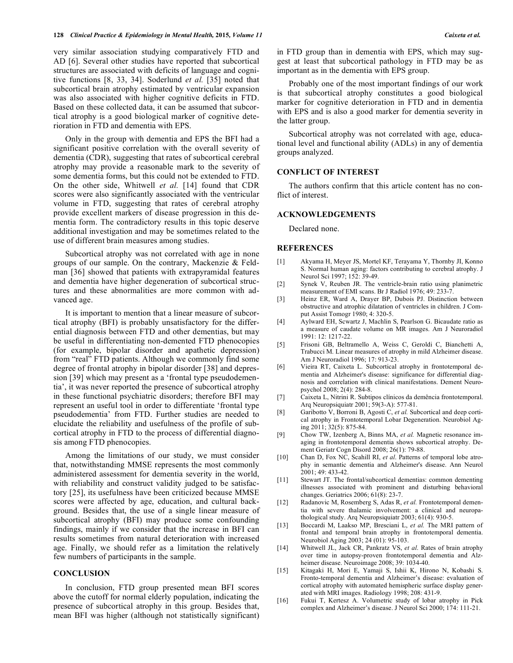very similar association studying comparatively FTD and AD [6]. Several other studies have reported that subcortical structures are associated with deficits of language and cognitive functions [8, 33, 34]. Soderlund *et al.* [35] noted that subcortical brain atrophy estimated by ventricular expansion was also associated with higher cognitive deficits in FTD. Based on these collected data, it can be assumed that subcortical atrophy is a good biological marker of cognitive deterioration in FTD and dementia with EPS.

Only in the group with dementia and EPS the BFI had a significant positive correlation with the overall severity of dementia (CDR), suggesting that rates of subcortical cerebral atrophy may provide a reasonable mark to the severity of some dementia forms, but this could not be extended to FTD. On the other side, Whitwell *et al.* [14] found that CDR scores were also significantly associated with the ventricular volume in FTD, suggesting that rates of cerebral atrophy provide excellent markers of disease progression in this dementia form. The contradictory results in this topic deserve additional investigation and may be sometimes related to the use of different brain measures among studies.

Subcortical atrophy was not correlated with age in none groups of our sample. On the contrary, Mackenzie & Feldman [36] showed that patients with extrapyramidal features and dementia have higher degeneration of subcortical structures and these abnormalities are more common with advanced age.

It is important to mention that a linear measure of subcortical atrophy (BFI) is probably unsatisfactory for the differential diagnosis between FTD and other dementias, but may be useful in differentiating non-demented FTD phenocopies (for example, bipolar disorder and apathetic depression) from "real" FTD patients. Although we commonly find some degree of frontal atrophy in bipolar disorder [38] and depression [39] which may present as a 'frontal type pseudodementia', it was never reported the presence of subcortical atrophy in these functional psychiatric disorders; therefore BFI may represent an useful tool in order to differentiate 'frontal type pseudodementia' from FTD. Further studies are needed to elucidate the reliability and usefulness of the profile of subcortical atrophy in FTD to the process of differential diagnosis among FTD phenocopies.

Among the limitations of our study, we must consider that, notwithstanding MMSE represents the most commonly administered assessment for dementia severity in the world, with reliability and construct validity judged to be satisfactory [25], its usefulness have been criticized because MMSE scores were affected by age, education, and cultural background. Besides that, the use of a single linear measure of subcortical atrophy (BFI) may produce some confounding findings, mainly if we consider that the increase in BFI can results sometimes from natural deterioration with increased age. Finally, we should refer as a limitation the relatively few numbers of participants in the sample.

# **CONCLUSION**

In conclusion, FTD group presented mean BFI scores above the cutoff for normal elderly population, indicating the presence of subcortical atrophy in this group. Besides that, mean BFI was higher (although not statistically significant) in FTD group than in dementia with EPS, which may suggest at least that subcortical pathology in FTD may be as important as in the dementia with EPS group.

Probably one of the most important findings of our work is that subcortical atrophy constitutes a good biological marker for cognitive deterioration in FTD and in dementia with EPS and is also a good marker for dementia severity in the latter group.

Subcortical atrophy was not correlated with age, educational level and functional ability (ADLs) in any of dementia groups analyzed.

### **CONFLICT OF INTEREST**

The authors confirm that this article content has no conflict of interest.

### **ACKNOWLEDGEMENTS**

Declared none.

# **REFERENCES**

- [1] Akyama H, Meyer JS, Mortel KF, Terayama Y, Thornby JI, Konno S. Normal human aging: factors contributing to cerebral atrophy. J Neurol Sci 1997; 152: 39-49.
- [2] Synek V, Reuben JR. The ventricle-brain ratio using planimetric measurement of EMI scans. Br J Radiol 1976; 49: 233-7.
- [3] Heinz ER, Ward A, Drayer BP, Dubois PJ. Distinction between obstructive and atrophic dilatation of ventricles in children. J Comput Assist Tomogr 1980; 4: 320-5.
- [4] Aylward EH, Scwartz J, Machlin S, Pearlson G. Bicaudate ratio as a measure of caudate volume on MR images. Am J Neuroradiol 1991: 12: 1217-22.
- [5] Frisoni GB, Beltramello A, Weiss C, Geroldi C, Bianchetti A, Trabucci M. Linear measures of atrophy in mild Alzheimer disease. Am J Neuroradiol 1996; 17: 913-23.
- [6] Vieira RT, Caixeta L. Subcortical atrophy in frontotemporal dementia and Alzheimer's disease: significance for differential diagnosis and correlation with clinical manifestations. Dement Neuropsychol 2008; 2(4): 284-8.
- [7] Caixeta L, Nitrini R. Subtipos clínicos da demência frontotemporal. Arq Neuropsiquiatr 2001; 59(3-A): 577-81.
- [8] Garibotto V, Borroni B, Agosti C, *et al.* Subcortical and deep cortical atrophy in Frontotemporal Lobar Degeneration. Neurobiol Aging 2011; 32(5): 875-84.
- [9] Chow TW, Izenberg A, Binns MA, *et al.* Magnetic resonance imaging in frontotemporal dementia shows subcortical atrophy. Dement Geriatr Cogn Disord 2008; 26(1): 79-88.
- [10] Chan D, Fox NC, Scahill RI, *et al*. Patterns of temporal lobe atrophy in semantic dementia and Alzheimer's disease. Ann Neurol 2001; 49: 433-42.
- [11] Stewart JT. The frontal/subcortical dementias: common dementing illnesses associated with prominent and disturbing behavioral changes. Geriatrics 2006; 61(8): 23-7.
- [12] Radanovic M, Rosemberg S, Adas R, *et al.* Frontotemporal dementia with severe thalamic involvement: a clinical and neuropathological study. Arq Neuropsiquiatr 2003; 61(4): 930-5.
- [13] Boccardi M, Laakso MP, Bresciani L, *et al.* The MRI pattern of frontal and temporal brain atrophy in frontotemporal dementia. Neurobiol Aging 2003; 24 (01): 95-103.
- [14] Whitwell JL, Jack CR, Pankratz VS, *et al*. Rates of brain atrophy over time in autopsy-proven frontotemporal dementia and Alzheimer disease. Neuroimage 2008; 39: 1034-40.
- [15] Kitagaki H, Mori E, Yamaji S, Ishii K, Hirono N, Kobashi S. Fronto-temporal dementia and Alzheimer's disease: evaluation of cortical atrophy with automated hemispheric surface display generated with MRI images. Radiology 1998; 208: 431-9.
- [16] Fukui T, Kertesz A. Volumetric study of lobar atrophy in Pick complex and Alzheimer's disease. J Neurol Sci 2000; 174: 111-21.